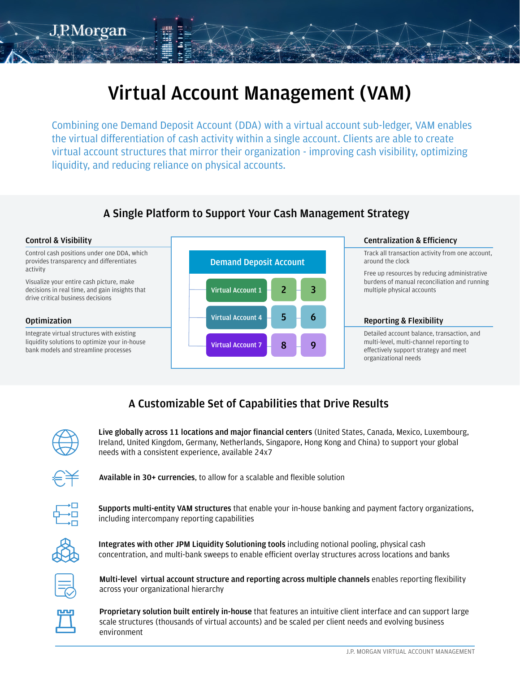# **Virtual Account Management (VAM)**

Combining one Demand Deposit Account (DDA) with a virtual account sub-ledger, VAM enables the virtual differentiation of cash activity within a single account. Clients are able to create virtual account structures that mirror their organization - improving cash visibility, optimizing liquidity, and reducing reliance on physical accounts.

### **A Single Platform to Support Your Cash Management Strategy**



## **A Customizable Set of Capabilities that Drive Results**



J.RMorgan

**Live globally across 11 locations and major financial centers** (United States, Canada, Mexico, Luxembourg, Ireland, United Kingdom, Germany, Netherlands, Singapore, Hong Kong and China) to support your global needs with a consistent experience, available 24x7



**Available in 30+ currencies**, to allow for a scalable and flexible solution



**Supports multi-entity VAM structures** that enable your in-house banking and payment factory organizations, including intercompany reporting capabilities



**Integrates with other JPM Liquidity Solutioning tools** including notional pooling, physical cash concentration, and multi-bank sweeps to enable efficient overlay structures across locations and banks



**Multi-level virtual account structure and reporting across multiple channels** enables reporting flexibility across your organizational hierarchy



**Proprietary solution built entirely in-house** that features an intuitive client interface and can support large scale structures (thousands of virtual accounts) and be scaled per client needs and evolving business environment